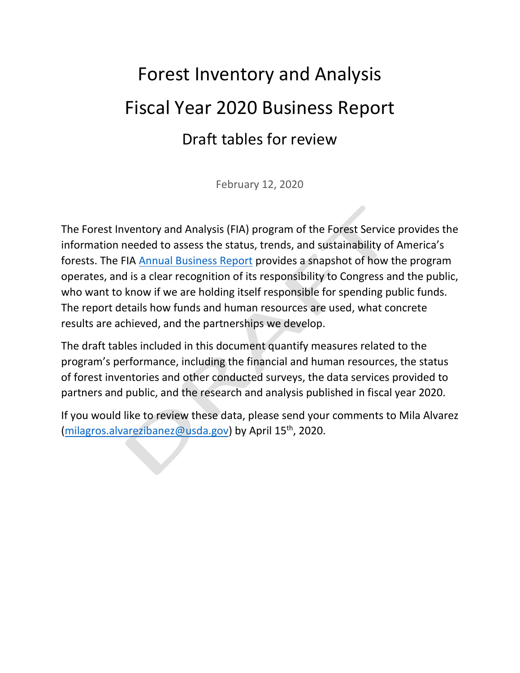# Forest Inventory and Analysis Fiscal Year 2020 Business Report Draft tables for review

February 12, 2020

The Forest Inventory and Analysis (FIA) program of the Forest Service provides the information needed to assess the status, trends, and sustainability of America's forests. The FIA [Annual Business Report](https://www.fia.fs.fed.us/library/bus-org-documents/) provides a snapshot of how the program operates, and is a clear recognition of its responsibility to Congress and the public, who want to know if we are holding itself responsible for spending public funds. The report details how funds and human resources are used, what concrete results are achieved, and the partnerships we develop.

The draft tables included in this document quantify measures related to the program's performance, including the financial and human resources, the status of forest inventories and other conducted surveys, the data services provided to partners and public, and the research and analysis published in fiscal year 2020.

If you would like to review these data, please send your comments to Mila Alvarez [\(milagros.alvarezibanez@usda.gov\)](mailto:milagros.alvarezibanez@usda.gov) by April 15<sup>th</sup>, 2020.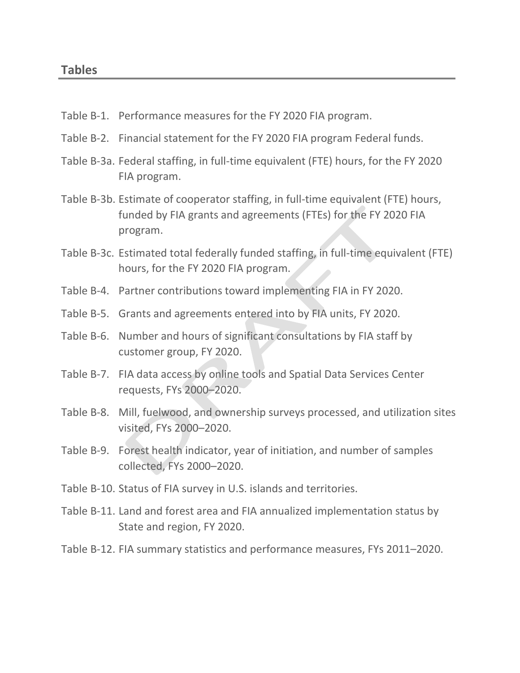- Table B-1. Performance measures for the FY 2020 FIA program.
- Table B-2. Financial statement for the FY 2020 FIA program Federal funds.
- Table B-3a. Federal staffing, in full-time equivalent (FTE) hours, for the FY 2020 FIA program.
- Table B-3b. Estimate of cooperator staffing, in full-time equivalent (FTE) hours, funded by FIA grants and agreements (FTEs) for the FY 2020 FIA program.
- Table B-3c. Estimated total federally funded staffing, in full-time equivalent (FTE) hours, for the FY 2020 FIA program.
- Table B-4. Partner contributions toward implementing FIA in FY 2020.
- Table B-5. Grants and agreements entered into by FIA units, FY 2020.
- Table B-6. Number and hours of significant consultations by FIA staff by customer group, FY 2020.
- Table B-7. FIA data access by online tools and Spatial Data Services Center requests, FYs 2000–2020.
- Table B-8. Mill, fuelwood, and ownership surveys processed, and utilization sites visited, FYs 2000–2020.
- Table B-9. Forest health indicator, year of initiation, and number of samples collected, FYs 2000–2020.
- Table B-10. Status of FIA survey in U.S. islands and territories.
- Table B-11. Land and forest area and FIA annualized implementation status by State and region, FY 2020.
- Table B-12. FIA summary statistics and performance measures, FYs 2011–2020.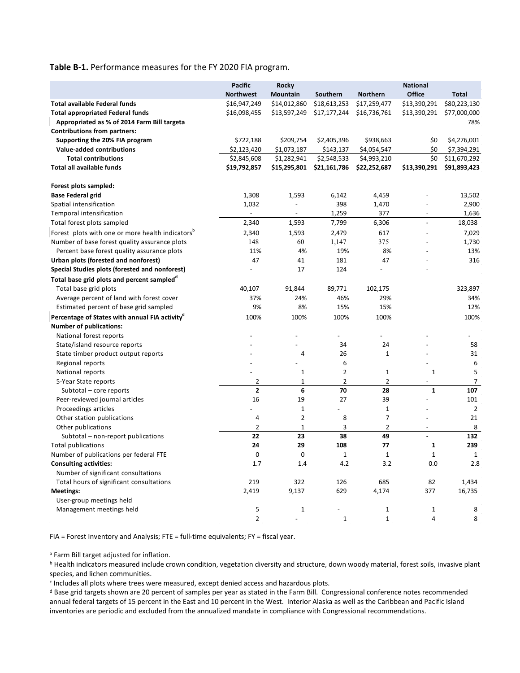**Table B-1.** Performance measures for the FY 2020 FIA program.

|                                                              | <b>Pacific</b><br><b>Northwest</b> | Rocky<br><b>Mountain</b> | Southern       | <b>Northern</b> | <b>National</b><br>Office | <b>Total</b>             |
|--------------------------------------------------------------|------------------------------------|--------------------------|----------------|-----------------|---------------------------|--------------------------|
| <b>Total available Federal funds</b>                         | \$16,947,249                       | \$14,012,860             | \$18,613,253   | \$17,259,477    | \$13,390,291              | \$80,223,130             |
| <b>Total appropriated Federal funds</b>                      | \$16,098,455                       | \$13,597,249             | \$17,177,244   | \$16,736,761    | \$13,390,291              | \$77,000,000             |
| Appropriated as % of 2014 Farm Bill targeta                  |                                    |                          |                |                 |                           | 78%                      |
| <b>Contributions from partners:</b>                          |                                    |                          |                |                 |                           |                          |
| Supporting the 20% FIA program                               | \$722,188                          | \$209,754                | \$2,405,396    | \$938,663       | \$0                       | \$4,276,001              |
| <b>Value-added contributions</b>                             | \$2,123,420                        | \$1,073,187              | \$143,137      | \$4,054,547     | \$0                       | \$7,394,291              |
| <b>Total contributions</b>                                   | \$2,845,608                        | \$1,282,941              | \$2,548,533    | \$4,993,210     | \$0                       | \$11,670,292             |
| Total all available funds                                    | \$19,792,857                       | \$15,295,801             | \$21,161,786   | \$22,252,687    | \$13,390,291              | \$91,893,423             |
|                                                              |                                    |                          |                |                 |                           |                          |
| Forest plots sampled:                                        |                                    |                          |                |                 |                           |                          |
| <b>Base Federal grid</b>                                     | 1,308                              | 1,593                    | 6,142          | 4,459           |                           | 13,502                   |
| Spatial intensification                                      | 1,032                              |                          | 398            | 1,470           |                           | 2,900                    |
| Temporal intensification                                     | $\blacksquare$                     | $\overline{\phantom{a}}$ | 1,259          | 377             | $\overline{\phantom{a}}$  | 1,636                    |
| Total forest plots sampled                                   | 2,340                              | 1,593                    | 7,799          | 6,306           | $\overline{\phantom{a}}$  | 18,038                   |
| Forest plots with one or more health indicators <sup>p</sup> | 2,340                              | 1,593                    | 2,479          | 617             |                           | 7,029                    |
| Number of base forest quality assurance plots                | 148                                | 60                       | 1,147          | 375             |                           | 1,730                    |
| Percent base forest quality assurance plots                  | 11%                                | 4%                       | 19%            | 8%              |                           | 13%                      |
| Urban plots (forested and nonforest)                         | 47                                 | 41                       | 181            | 47              |                           | 316                      |
| Special Studies plots (forested and nonforest)               |                                    | 17                       | 124            |                 |                           |                          |
| Total base grid plots and percent sampled <sup>d</sup>       |                                    |                          |                |                 |                           |                          |
| Total base grid plots                                        | 40,107                             | 91,844                   | 89,771         | 102,175         |                           | 323,897                  |
| Average percent of land with forest cover                    | 37%                                | 24%                      | 46%            | 29%             |                           | 34%                      |
| Estimated percent of base grid sampled                       | 9%                                 | 8%                       | 15%            | 15%             |                           | 12%                      |
| Percentage of States with annual FIA activity <sup>®</sup>   | 100%                               | 100%                     | 100%           | 100%            |                           | 100%                     |
| <b>Number of publications:</b>                               |                                    |                          |                |                 |                           |                          |
| National forest reports                                      |                                    |                          |                |                 |                           | $\overline{\phantom{a}}$ |
| State/island resource reports                                |                                    |                          | 34             | 24              |                           | 58                       |
| State timber product output reports                          |                                    | 4                        | 26             | 1               |                           | 31                       |
| Regional reports                                             |                                    |                          | 6              |                 |                           | 6                        |
| National reports                                             |                                    | 1                        | $\overline{2}$ | $\mathbf{1}$    | 1                         | 5                        |
| 5-Year State reports                                         | 2                                  | 1                        | $\overline{2}$ | $\overline{2}$  | $\overline{\phantom{a}}$  | 7                        |
| Subtotal - core reports                                      | $\overline{\mathbf{2}}$            | 6                        | 70             | 28              | $\mathbf{1}$              | 107                      |
| Peer-reviewed journal articles                               | 16                                 | 19                       | 27             | 39              |                           | 101                      |
| Proceedings articles                                         |                                    | 1                        |                | $\mathbf 1$     |                           | $\overline{2}$           |
| Other station publications                                   | 4                                  | 2                        | 8              | $\overline{7}$  |                           | 21                       |
| Other publications                                           | $\overline{2}$                     | $\mathbf{1}$             | 3              | $\overline{2}$  | $\overline{\phantom{a}}$  | 8                        |
| Subtotal - non-report publications                           | 22                                 | 23                       | 38             | 49              | $\overline{\phantom{a}}$  | 132                      |
| <b>Total publications</b>                                    | 24                                 | 29                       | 108            | 77              | 1                         | 239                      |
| Number of publications per federal FTE                       | 0                                  | 0                        | $\mathbf{1}$   | $\mathbf{1}$    | $\mathbf{1}$              | $\mathbf 1$              |
| <b>Consulting activities:</b>                                | 1.7                                | 1.4                      | 4.2            | 3.2             | 0.0                       | 2.8                      |
| Number of significant consultations                          |                                    |                          |                |                 |                           |                          |
| Total hours of significant consultations                     | 219                                | 322                      | 126            | 685             | 82                        | 1,434                    |
| <b>Meetings:</b>                                             | 2,419                              | 9,137                    | 629            | 4,174           | 377                       | 16,735                   |
| User-group meetings held                                     |                                    |                          |                |                 |                           |                          |
| Management meetings held                                     | 5                                  | 1                        | $\overline{a}$ | $\mathbf{1}$    | 1                         | 8                        |
|                                                              | $\overline{2}$                     |                          | $\mathbf{1}$   | $\mathbf{1}$    | 4                         | 8                        |

FIA = Forest Inventory and Analysis; FTE = full-time equivalents; FY = fiscal year.

<sup>a</sup> Farm Bill target adjusted for inflation.

**b** Health indicators measured include crown condition, vegetation diversity and structure, down woody material, forest soils, invasive plant species, and lichen communities.

<sup>c</sup> Includes all plots where trees were measured, except denied access and hazardous plots.

<sup>d</sup> Base grid targets shown are 20 percent of samples per year as stated in the Farm Bill. Congressional conference notes recommended annual federal targets of 15 percent in the East and 10 percent in the West. Interior Alaska as well as the Caribbean and Pacific Island inventories are periodic and excluded from the annualized mandate in compliance with Congressional recommendations.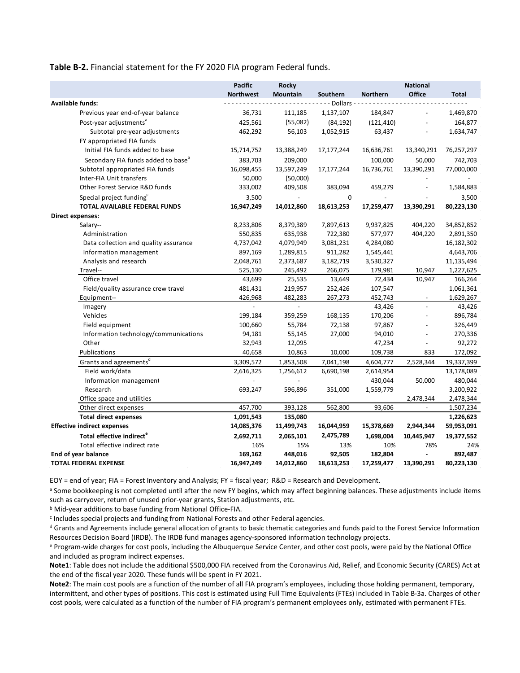**Table B-2.** Financial statement for the FY 2020 FIA program Federal funds.

|                                                | <b>Pacific</b>   | <b>Rocky</b>             |                  |                | <b>National</b>          |              |
|------------------------------------------------|------------------|--------------------------|------------------|----------------|--------------------------|--------------|
|                                                | <b>Northwest</b> | Mountain                 | Southern         | Northern       | <b>Office</b>            | <b>Total</b> |
| Available funds:                               |                  |                          | $-Dollars - - -$ |                |                          |              |
| Previous year end-of-year balance              | 36,731           | 111,185                  | 1,137,107        | 184,847        |                          | 1,469,870    |
| Post-year adjustments <sup>a</sup>             | 425,561          | (55,082)                 | (84, 192)        | (121, 410)     |                          | 164,877      |
| Subtotal pre-year adjustments                  | 462,292          | 56,103                   | 1,052,915        | 63,437         |                          | 1,634,747    |
| FY appropriated FIA funds                      |                  |                          |                  |                |                          |              |
| Initial FIA funds added to base                | 15,714,752       | 13,388,249               | 17,177,244       | 16,636,761     | 13,340,291               | 76,257,297   |
| Secondary FIA funds added to base <sup>b</sup> | 383,703          | 209,000                  |                  | 100,000        | 50,000                   | 742,703      |
| Subtotal appropriated FIA funds                | 16,098,455       | 13,597,249               | 17,177,244       | 16,736,761     | 13,390,291               | 77,000,000   |
| Inter-FIA Unit transfers                       | 50,000           | (50,000)                 |                  |                |                          |              |
| Other Forest Service R&D funds                 | 333,002          | 409,508                  | 383,094          | 459,279        |                          | 1,584,883    |
| Special project funding <sup>c</sup>           | 3,500            | $\overline{\phantom{a}}$ | 0                | $\overline{a}$ |                          | 3,500        |
| TOTAL AVAILABLE FEDERAL FUNDS                  | 16,947,249       | 14,012,860               | 18,613,253       | 17,259,477     | 13,390,291               | 80,223,130   |
| <b>Direct expenses:</b>                        |                  |                          |                  |                |                          |              |
| Salary--                                       | 8,233,806        | 8,379,389                | 7,897,613        | 9,937,825      | 404,220                  | 34,852,852   |
| Administration                                 | 550,835          | 635,938                  | 722,380          | 577,977        | 404,220                  | 2,891,350    |
| Data collection and quality assurance          | 4,737,042        | 4,079,949                | 3,081,231        | 4,284,080      |                          | 16,182,302   |
| Information management                         | 897,169          | 1,289,815                | 911,282          | 1,545,441      |                          | 4,643,706    |
| Analysis and research                          | 2,048,761        | 2,373,687                | 3,182,719        | 3,530,327      |                          | 11,135,494   |
| Travel--                                       | 525,130          | 245,492                  | 266,075          | 179,981        | 10,947                   | 1,227,625    |
| Office travel                                  | 43,699           | 25,535                   | 13,649           | 72,434         | 10,947                   | 166,264      |
| Field/quality assurance crew travel            | 481,431          | 219,957                  | 252,426          | 107,547        |                          | 1,061,361    |
| Equipment--                                    | 426,968          | 482,283                  | 267,273          | 452,743        | $\overline{\phantom{a}}$ | 1,629,267    |
| Imagery                                        |                  | $\overline{a}$           |                  | 43,426         |                          | 43,426       |
| Vehicles                                       | 199,184          | 359,259                  | 168,135          | 170,206        | $\overline{a}$           | 896,784      |
| Field equipment                                | 100,660          | 55,784                   | 72,138           | 97,867         | $\overline{a}$           | 326,449      |
| Information technology/communications          | 94,181           | 55,145                   | 27,000           | 94,010         |                          | 270,336      |
| Other                                          | 32,943           | 12,095                   |                  | 47,234         |                          | 92,272       |
| Publications                                   | 40,658           | 10,863                   | 10,000           | 109,738        | 833                      | 172,092      |
| Grants and agreements <sup>d</sup>             | 3,309,572        | 1,853,508                | 7,041,198        | 4,604,777      | 2,528,344                | 19,337,399   |
| Field work/data                                | 2,616,325        | 1,256,612                | 6,690,198        | 2,614,954      |                          | 13,178,089   |
| Information management                         |                  |                          |                  | 430,044        | 50,000                   | 480,044      |
| Research                                       | 693,247          | 596,896                  | 351,000          | 1,559,779      |                          | 3,200,922    |
| Office space and utilities                     |                  |                          |                  |                | 2,478,344                | 2,478,344    |
| Other direct expenses                          | 457,700          | 393,128                  | 562,800          | 93,606         | $\overline{a}$           | 1,507,234    |
| <b>Total direct expenses</b>                   | 1,091,543        | 135,080                  |                  |                |                          | 1,226,623    |
| <b>Effective indirect expenses</b>             | 14,085,376       | 11,499,743               | 16,044,959       | 15,378,669     | 2,944,344                | 59,953,091   |
| Total effective indirect <sup>e</sup>          | 2,692,711        | 2,065,101                | 2,475,789        | 1,698,004      | 10,445,947               | 19,377,552   |
| Total effective indirect rate                  | 16%              | 15%                      | 13%              | 10%            | 78%                      | 24%          |
| End of year balance                            | 169,162          | 448,016                  | 92,505           | 182,804        |                          | 892,487      |
| <b>TOTAL FEDERAL EXPENSE</b>                   | 16,947,249       | 14,012,860               | 18,613,253       | 17,259,477     | 13,390,291               | 80,223,130   |

EOY = end of year; FIA = Forest Inventory and Analysis; FY = fiscal year; R&D = Research and Development.

a Some bookkeeping is not completed until after the new FY begins, which may affect beginning balances. These adjustments include items such as carryover, return of unused prior-year grants, Station adjustments, etc. b Mid-year additions to base funding from National Office-FIA.

<sup>c</sup> Includes special projects and funding from National Forests and other Federal agencies.

<sup>d</sup> Grants and Agreements include general allocation of grants to basic thematic categories and funds paid to the Forest Service Information Resources Decision Board (IRDB). The IRDB fund manages agency-sponsored information technology projects.

e Program-wide charges for cost pools, including the Albuquerque Service Center, and other cost pools, were paid by the National Office and included as program indirect expenses.

**Note1**: Table does not include the additional \$500,000 FIA received from the Coronavirus Aid, Relief, and Economic Security (CARES) Act at the end of the fiscal year 2020. These funds will be spent in FY 2021.

**Note2**: The main cost pools are a function of the number of all FIA program's employees, including those holding permanent, temporary, intermittent, and other types of positions. This cost is estimated using Full Time Equivalents (FTEs) included in Table B-3a. Charges of other cost pools, were calculated as a function of the number of FIA program's permanent employees only, estimated with permanent FTEs.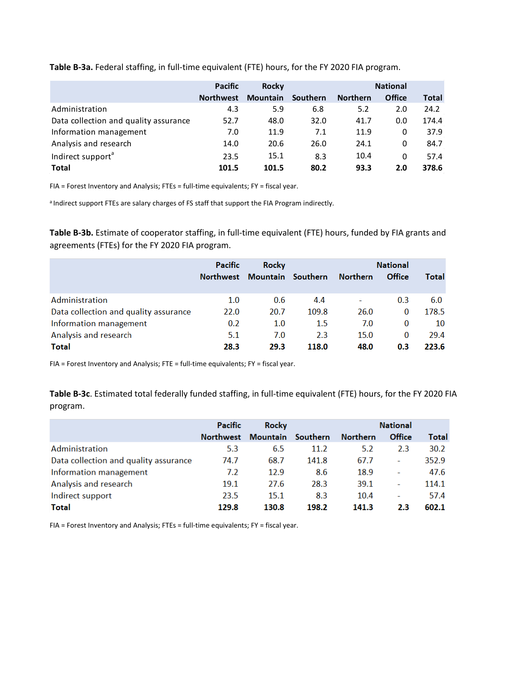**Table B-3a.** Federal staffing, in full-time equivalent (FTE) hours, for the FY 2020 FIA program.

|                                       | <b>Pacific</b>   | <b>Rocky</b>    |          |                 | <b>National</b> |       |
|---------------------------------------|------------------|-----------------|----------|-----------------|-----------------|-------|
|                                       | <b>Northwest</b> | <b>Mountain</b> | Southern | <b>Northern</b> | <b>Office</b>   | Total |
| Administration                        | 4.3              | 5.9             | 6.8      | 5.2             | 2.0             | 24.2  |
| Data collection and quality assurance | 52.7             | 48.0            | 32.0     | 41.7            | 0.0             | 174.4 |
| Information management                | 7.0              | 11.9            | 7.1      | 11.9            | 0               | 37.9  |
| Analysis and research                 | 14.0             | 20.6            | 26.0     | 24.1            | 0               | 84.7  |
| Indirect support <sup>a</sup>         | 23.5             | 15.1            | 8.3      | 10.4            | 0               | 57.4  |
| <b>Total</b>                          | 101.5            | 101.5           | 80.2     | 93.3            | 2.0             | 378.6 |

FIA = Forest Inventory and Analysis; FTEs = full-time equivalents; FY = fiscal year.

a Indirect support FTEs are salary charges of FS staff that support the FIA Program indirectly.

**Table B-3b.** Estimate of cooperator staffing, in full-time equivalent (FTE) hours, funded by FIA grants and agreements (FTEs) for the FY 2020 FIA program.

|                                       | <b>Pacific</b>   | <b>Rocky</b>      |       |                 | <b>National</b> |       |
|---------------------------------------|------------------|-------------------|-------|-----------------|-----------------|-------|
|                                       | <b>Northwest</b> | Mountain Southern |       | <b>Northern</b> | Office          | Total |
|                                       |                  |                   |       |                 |                 |       |
| Administration                        | 1.0              | 0.6               | 4.4   |                 | 0.3             | 6.0   |
| Data collection and quality assurance | 22.0             | 20.7              | 109.8 | 26.0            | 0               | 178.5 |
| Information management                | 0.2              | 1.0               | 1.5   | 7.0             | $\Omega$        | 10    |
| Analysis and research                 | 5.1              | 7.0               | 2.3   | 15.0            | 0               | 29.4  |
| <b>Total</b>                          | 28.3             | 29.3              | 118.0 | 48.0            | 0.3             | 223.6 |

FIA = Forest Inventory and Analysis; FTE = full-time equivalents; FY = fiscal year.

**Table B-3c**. Estimated total federally funded staffing, in full-time equivalent (FTE) hours, for the FY 2020 FIA program.

|                                       | Pacific          | <b>Rocky</b>      |       |                 | <b>National</b> |       |
|---------------------------------------|------------------|-------------------|-------|-----------------|-----------------|-------|
|                                       | <b>Northwest</b> | Mountain Southern |       | <b>Northern</b> | Office          | Total |
| Administration                        | 5.3              | 6.5               | 11.2  | 5.2             | 2.3             | 30.2  |
| Data collection and quality assurance | 74.7             | 68.7              | 141.8 | 67.7            | ۰               | 352.9 |
| Information management                | 7.2              | 12.9              | 8.6   | 18.9            | ۰               | 47.6  |
| Analysis and research                 | 19.1             | 27.6              | 28.3  | 39.1            | ۰               | 114.1 |
| Indirect support                      | 23.5             | 15.1              | 8.3   | 10.4            | ۰               | 57.4  |
| <b>Total</b>                          | 129.8            | 130.8             | 198.2 | 141.3           | 2.3             | 602.1 |

FIA = Forest Inventory and Analysis; FTEs = full-time equivalents; FY = fiscal year.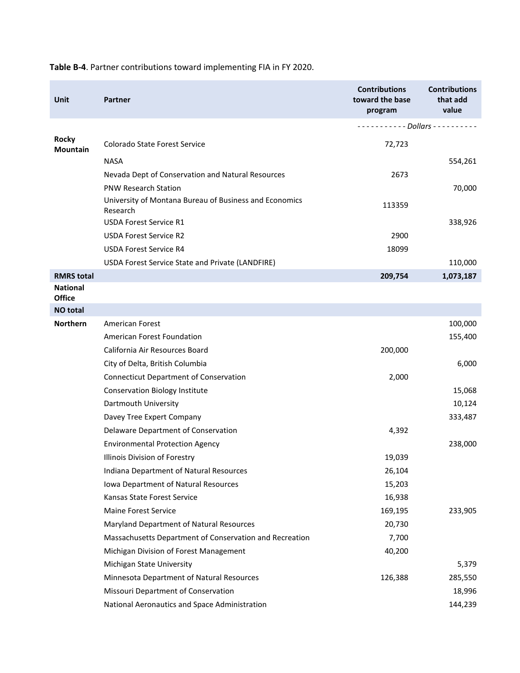| <b>Unit</b>                      | Partner                                                            | <b>Contributions</b><br>toward the base<br>program | <b>Contributions</b><br>that add<br>value |
|----------------------------------|--------------------------------------------------------------------|----------------------------------------------------|-------------------------------------------|
|                                  |                                                                    | $- - - - - - - - -$ Dollars - - - - - - - - - -    |                                           |
| <b>Rocky</b><br><b>Mountain</b>  | Colorado State Forest Service                                      | 72,723                                             |                                           |
|                                  | <b>NASA</b>                                                        |                                                    | 554,261                                   |
|                                  | Nevada Dept of Conservation and Natural Resources                  | 2673                                               |                                           |
|                                  | <b>PNW Research Station</b>                                        |                                                    | 70,000                                    |
|                                  | University of Montana Bureau of Business and Economics<br>Research | 113359                                             |                                           |
|                                  | <b>USDA Forest Service R1</b>                                      |                                                    | 338,926                                   |
|                                  | <b>USDA Forest Service R2</b>                                      | 2900                                               |                                           |
|                                  | <b>USDA Forest Service R4</b>                                      | 18099                                              |                                           |
|                                  | USDA Forest Service State and Private (LANDFIRE)                   |                                                    | 110,000                                   |
| <b>RMRS</b> total                |                                                                    | 209,754                                            | 1,073,187                                 |
| <b>National</b><br><b>Office</b> |                                                                    |                                                    |                                           |
| <b>NO</b> total                  |                                                                    |                                                    |                                           |
| <b>Northern</b>                  | <b>American Forest</b>                                             |                                                    | 100,000                                   |
|                                  | <b>American Forest Foundation</b>                                  |                                                    | 155,400                                   |
|                                  | California Air Resources Board                                     | 200,000                                            |                                           |
|                                  | City of Delta, British Columbia                                    |                                                    | 6,000                                     |
|                                  | <b>Connecticut Department of Conservation</b>                      | 2,000                                              |                                           |
|                                  | <b>Conservation Biology Institute</b>                              |                                                    | 15,068                                    |
|                                  | Dartmouth University                                               |                                                    | 10,124                                    |
|                                  | Davey Tree Expert Company                                          |                                                    | 333,487                                   |
|                                  | Delaware Department of Conservation                                | 4,392                                              |                                           |
|                                  | <b>Environmental Protection Agency</b>                             |                                                    | 238,000                                   |
|                                  | Illinois Division of Forestry                                      | 19,039                                             |                                           |
|                                  | Indiana Department of Natural Resources                            | 26,104                                             |                                           |
|                                  | Iowa Department of Natural Resources                               | 15,203                                             |                                           |
|                                  | Kansas State Forest Service                                        | 16,938                                             |                                           |
|                                  | <b>Maine Forest Service</b>                                        | 169,195                                            | 233,905                                   |
|                                  | Maryland Department of Natural Resources                           | 20,730                                             |                                           |
|                                  | Massachusetts Department of Conservation and Recreation            | 7,700                                              |                                           |
|                                  | Michigan Division of Forest Management                             | 40,200                                             |                                           |
|                                  | Michigan State University                                          |                                                    | 5,379                                     |
|                                  | Minnesota Department of Natural Resources                          | 126,388                                            | 285,550                                   |
|                                  | Missouri Department of Conservation                                |                                                    | 18,996                                    |
|                                  | National Aeronautics and Space Administration                      |                                                    | 144,239                                   |

**Table B-4**. Partner contributions toward implementing FIA in FY 2020.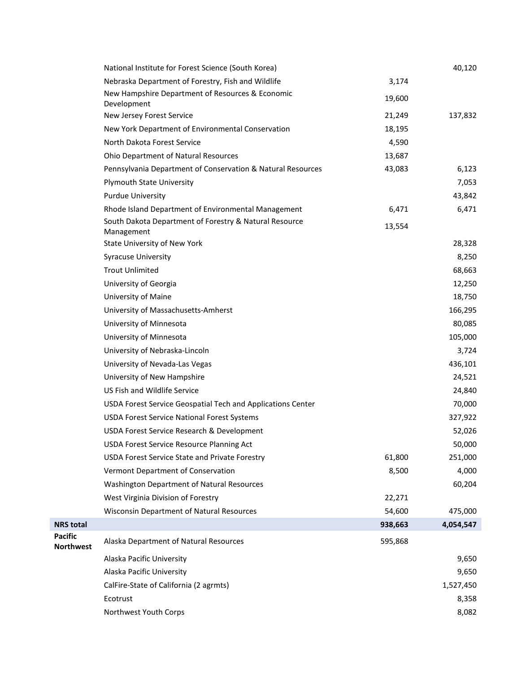|                                    | National Institute for Forest Science (South Korea)                  |         | 40,120    |
|------------------------------------|----------------------------------------------------------------------|---------|-----------|
|                                    | Nebraska Department of Forestry, Fish and Wildlife                   | 3,174   |           |
|                                    | New Hampshire Department of Resources & Economic<br>Development      | 19,600  |           |
|                                    | New Jersey Forest Service                                            | 21,249  | 137,832   |
|                                    | New York Department of Environmental Conservation                    | 18,195  |           |
|                                    | North Dakota Forest Service                                          | 4,590   |           |
|                                    | Ohio Department of Natural Resources                                 | 13,687  |           |
|                                    | Pennsylvania Department of Conservation & Natural Resources          | 43,083  | 6,123     |
|                                    | <b>Plymouth State University</b>                                     |         | 7,053     |
|                                    | <b>Purdue University</b>                                             |         | 43,842    |
|                                    | Rhode Island Department of Environmental Management                  | 6,471   | 6,471     |
|                                    | South Dakota Department of Forestry & Natural Resource<br>Management | 13,554  |           |
|                                    | State University of New York                                         |         | 28,328    |
|                                    | <b>Syracuse University</b>                                           |         | 8,250     |
|                                    | <b>Trout Unlimited</b>                                               |         | 68,663    |
|                                    | University of Georgia                                                |         | 12,250    |
|                                    | University of Maine                                                  |         | 18,750    |
|                                    | University of Massachusetts-Amherst                                  |         | 166,295   |
|                                    | University of Minnesota                                              |         | 80,085    |
|                                    | University of Minnesota                                              |         | 105,000   |
|                                    | University of Nebraska-Lincoln                                       |         | 3,724     |
|                                    | University of Nevada-Las Vegas                                       |         | 436,101   |
|                                    | University of New Hampshire                                          |         | 24,521    |
|                                    | US Fish and Wildlife Service                                         |         | 24,840    |
|                                    | USDA Forest Service Geospatial Tech and Applications Center          |         | 70,000    |
|                                    | <b>USDA Forest Service National Forest Systems</b>                   |         | 327,922   |
|                                    | USDA Forest Service Research & Development                           |         | 52,026    |
|                                    | USDA Forest Service Resource Planning Act                            |         | 50,000    |
|                                    | <b>USDA Forest Service State and Private Forestry</b>                | 61,800  | 251,000   |
|                                    | Vermont Department of Conservation                                   | 8,500   | 4,000     |
|                                    | Washington Department of Natural Resources                           |         | 60,204    |
|                                    | West Virginia Division of Forestry                                   | 22,271  |           |
|                                    | <b>Wisconsin Department of Natural Resources</b>                     | 54,600  | 475,000   |
| <b>NRS</b> total                   |                                                                      | 938,663 | 4,054,547 |
| <b>Pacific</b><br><b>Northwest</b> | Alaska Department of Natural Resources                               | 595,868 |           |
|                                    | Alaska Pacific University                                            |         | 9,650     |
|                                    | Alaska Pacific University                                            |         | 9,650     |
|                                    | CalFire-State of California (2 agrmts)                               |         | 1,527,450 |
|                                    | Ecotrust                                                             |         | 8,358     |
|                                    | Northwest Youth Corps                                                |         | 8,082     |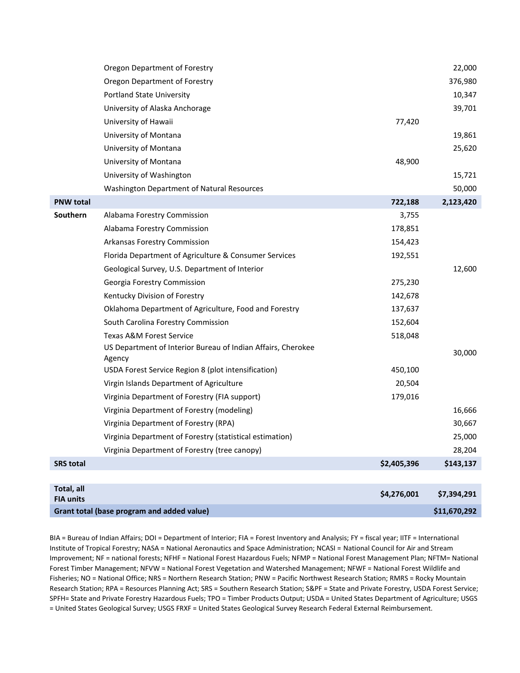|                                | Oregon Department of Forestry                                          |             | 22,000       |
|--------------------------------|------------------------------------------------------------------------|-------------|--------------|
|                                | Oregon Department of Forestry                                          |             | 376,980      |
|                                | <b>Portland State University</b>                                       |             | 10,347       |
|                                | University of Alaska Anchorage                                         |             | 39,701       |
|                                | University of Hawaii                                                   | 77,420      |              |
|                                | University of Montana                                                  |             | 19,861       |
|                                | University of Montana                                                  |             | 25,620       |
|                                | University of Montana                                                  | 48,900      |              |
|                                | University of Washington                                               |             | 15,721       |
|                                | Washington Department of Natural Resources                             |             | 50,000       |
| <b>PNW total</b>               |                                                                        | 722,188     | 2,123,420    |
| Southern                       | Alabama Forestry Commission                                            | 3,755       |              |
|                                | Alabama Forestry Commission                                            | 178,851     |              |
|                                | Arkansas Forestry Commission                                           | 154,423     |              |
|                                | Florida Department of Agriculture & Consumer Services                  | 192,551     |              |
|                                | Geological Survey, U.S. Department of Interior                         |             | 12,600       |
|                                | Georgia Forestry Commission                                            | 275,230     |              |
|                                | Kentucky Division of Forestry                                          | 142,678     |              |
|                                | Oklahoma Department of Agriculture, Food and Forestry                  | 137,637     |              |
|                                | South Carolina Forestry Commission                                     | 152,604     |              |
|                                | Texas A&M Forest Service                                               | 518,048     |              |
|                                | US Department of Interior Bureau of Indian Affairs, Cherokee<br>Agency |             | 30,000       |
|                                | USDA Forest Service Region 8 (plot intensification)                    | 450,100     |              |
|                                | Virgin Islands Department of Agriculture                               | 20,504      |              |
|                                | Virginia Department of Forestry (FIA support)                          | 179,016     |              |
|                                | Virginia Department of Forestry (modeling)                             |             | 16,666       |
|                                | Virginia Department of Forestry (RPA)                                  |             | 30,667       |
|                                | Virginia Department of Forestry (statistical estimation)               |             | 25,000       |
|                                | Virginia Department of Forestry (tree canopy)                          |             | 28,204       |
| <b>SRS total</b>               |                                                                        | \$2,405,396 | \$143,137    |
|                                |                                                                        |             |              |
| Total, all<br><b>FIA units</b> |                                                                        | \$4,276,001 | \$7,394,291  |
|                                | Grant total (base program and added value)                             |             | \$11,670,292 |

BIA = Bureau of Indian Affairs; DOI = Department of Interior; FIA = Forest Inventory and Analysis; FY = fiscal year; IITF = International Institute of Tropical Forestry; NASA = National Aeronautics and Space Administration; NCASI = National Council for Air and Stream Improvement; NF = national forests; NFHF = National Forest Hazardous Fuels; NFMP = National Forest Management Plan; NFTM= National Forest Timber Management; NFVW = National Forest Vegetation and Watershed Management; NFWF = National Forest Wildlife and Fisheries; NO = National Office; NRS = Northern Research Station; PNW = Pacific Northwest Research Station; RMRS = Rocky Mountain Research Station; RPA = Resources Planning Act; SRS = Southern Research Station; S&PF = State and Private Forestry, USDA Forest Service; SPFH= State and Private Forestry Hazardous Fuels; TPO = Timber Products Output; USDA = United States Department of Agriculture; USGS = United States Geological Survey; USGS FRXF = United States Geological Survey Research Federal External Reimbursement.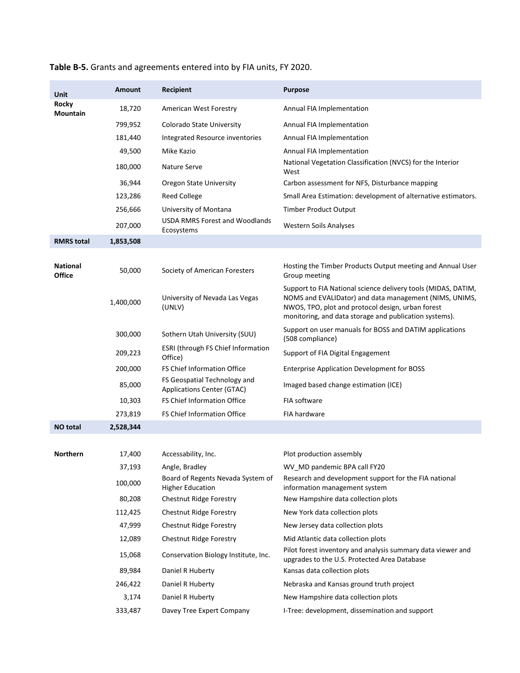| <b>Unit</b>                      | <b>Amount</b> | Recipient                                                    | <b>Purpose</b>                                                                                                                                                                                                                         |
|----------------------------------|---------------|--------------------------------------------------------------|----------------------------------------------------------------------------------------------------------------------------------------------------------------------------------------------------------------------------------------|
| <b>Rocky</b><br>Mountain         | 18,720        | American West Forestry                                       | Annual FIA Implementation                                                                                                                                                                                                              |
|                                  | 799,952       | Colorado State University                                    | Annual FIA Implementation                                                                                                                                                                                                              |
|                                  | 181,440       | Integrated Resource inventories                              | Annual FIA Implementation                                                                                                                                                                                                              |
|                                  | 49,500        | Mike Kazio                                                   | Annual FIA Implementation                                                                                                                                                                                                              |
|                                  | 180,000       | Nature Serve                                                 | National Vegetation Classification (NVCS) for the Interior<br>West                                                                                                                                                                     |
|                                  | 36,944        | <b>Oregon State University</b>                               | Carbon assessment for NFS, Disturbance mapping                                                                                                                                                                                         |
|                                  | 123,286       | <b>Reed College</b>                                          | Small Area Estimation: development of alternative estimators.                                                                                                                                                                          |
|                                  | 256,666       | University of Montana                                        | <b>Timber Product Output</b>                                                                                                                                                                                                           |
|                                  | 207,000       | <b>USDA RMRS Forest and Woodlands</b><br>Ecosystems          | <b>Western Soils Analyses</b>                                                                                                                                                                                                          |
| <b>RMRS</b> total                | 1,853,508     |                                                              |                                                                                                                                                                                                                                        |
|                                  |               |                                                              |                                                                                                                                                                                                                                        |
| <b>National</b><br><b>Office</b> | 50,000        | Society of American Foresters                                | Hosting the Timber Products Output meeting and Annual User<br>Group meeting                                                                                                                                                            |
|                                  | 1,400,000     | University of Nevada Las Vegas<br>(UNLV)                     | Support to FIA National science delivery tools (MIDAS, DATIM,<br>NOMS and EVALIDator) and data management (NIMS, UNIMS,<br>NWOS, TPO, plot and protocol design, urban forest<br>monitoring, and data storage and publication systems). |
|                                  | 300,000       | Sothern Utah University (SUU)                                | Support on user manuals for BOSS and DATIM applications<br>(508 compliance)                                                                                                                                                            |
|                                  | 209,223       | ESRI (through FS Chief Information<br>Office)                | Support of FIA Digital Engagement                                                                                                                                                                                                      |
|                                  | 200,000       | FS Chief Information Office                                  | <b>Enterprise Application Development for BOSS</b>                                                                                                                                                                                     |
|                                  | 85,000        | FS Geospatial Technology and<br>Applications Center (GTAC)   | Imaged based change estimation (ICE)                                                                                                                                                                                                   |
|                                  | 10,303        | FS Chief Information Office                                  | FIA software                                                                                                                                                                                                                           |
|                                  | 273,819       | FS Chief Information Office                                  | FIA hardware                                                                                                                                                                                                                           |
| <b>NO</b> total                  | 2,528,344     |                                                              |                                                                                                                                                                                                                                        |
|                                  |               |                                                              |                                                                                                                                                                                                                                        |
| <b>Northern</b>                  | 17,400        | Accessability, Inc.                                          | Plot production assembly                                                                                                                                                                                                               |
|                                  | 37,193        | Angle, Bradley                                               | WV MD pandemic BPA call FY20                                                                                                                                                                                                           |
|                                  | 100,000       | Board of Regents Nevada System of<br><b>Higher Education</b> | Research and development support for the FIA national<br>information management system                                                                                                                                                 |
|                                  | 80,208        | Chestnut Ridge Forestry                                      | New Hampshire data collection plots                                                                                                                                                                                                    |
|                                  | 112,425       | Chestnut Ridge Forestry                                      | New York data collection plots                                                                                                                                                                                                         |
|                                  | 47,999        | Chestnut Ridge Forestry                                      | New Jersey data collection plots                                                                                                                                                                                                       |
|                                  | 12,089        | <b>Chestnut Ridge Forestry</b>                               | Mid Atlantic data collection plots                                                                                                                                                                                                     |
|                                  | 15,068        | Conservation Biology Institute, Inc.                         | Pilot forest inventory and analysis summary data viewer and<br>upgrades to the U.S. Protected Area Database                                                                                                                            |
|                                  | 89,984        | Daniel R Huberty                                             | Kansas data collection plots                                                                                                                                                                                                           |
|                                  | 246,422       | Daniel R Huberty                                             | Nebraska and Kansas ground truth project                                                                                                                                                                                               |
|                                  | 3,174         | Daniel R Huberty                                             | New Hampshire data collection plots                                                                                                                                                                                                    |
|                                  | 333,487       | Davey Tree Expert Company                                    | I-Tree: development, dissemination and support                                                                                                                                                                                         |

## **Table B-5.** Grants and agreements entered into by FIA units, FY 2020.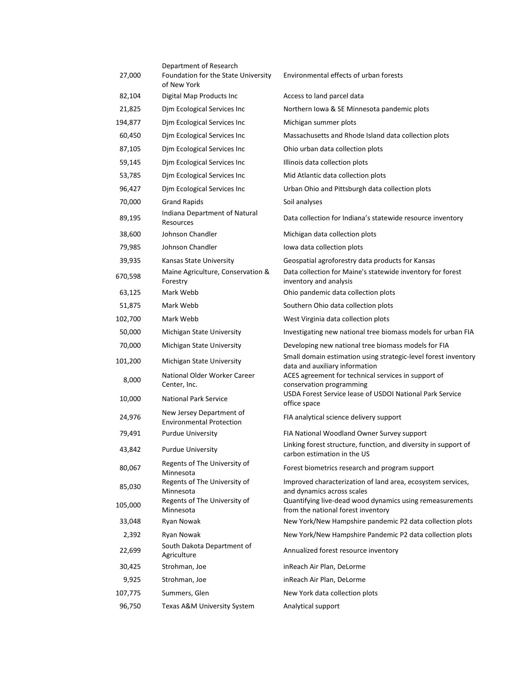| 27,000  | Department of Research<br>Foundation for the State University<br>of New York | Environmental effects of urban forests                                                           |
|---------|------------------------------------------------------------------------------|--------------------------------------------------------------------------------------------------|
| 82,104  | Digital Map Products Inc                                                     | Access to land parcel data                                                                       |
| 21,825  | Djm Ecological Services Inc                                                  | Northern Iowa & SE Minnesota pandemic plots                                                      |
| 194,877 | Djm Ecological Services Inc                                                  | Michigan summer plots                                                                            |
| 60,450  | Djm Ecological Services Inc                                                  | Massachusetts and Rhode Island data collection plots                                             |
| 87,105  | Djm Ecological Services Inc                                                  | Ohio urban data collection plots                                                                 |
| 59,145  | Djm Ecological Services Inc                                                  | Illinois data collection plots                                                                   |
| 53,785  | Dim Ecological Services Inc                                                  | Mid Atlantic data collection plots                                                               |
| 96,427  | Djm Ecological Services Inc                                                  | Urban Ohio and Pittsburgh data collection plots                                                  |
| 70,000  | <b>Grand Rapids</b>                                                          | Soil analyses                                                                                    |
| 89,195  | Indiana Department of Natural<br>Resources                                   | Data collection for Indiana's statewide resource inventory                                       |
| 38,600  | Johnson Chandler                                                             | Michigan data collection plots                                                                   |
| 79,985  | Johnson Chandler                                                             | lowa data collection plots                                                                       |
| 39,935  | Kansas State University                                                      | Geospatial agroforestry data products for Kansas                                                 |
| 670,598 | Maine Agriculture, Conservation &<br>Forestry                                | Data collection for Maine's statewide inventory for forest<br>inventory and analysis             |
| 63,125  | Mark Webb                                                                    | Ohio pandemic data collection plots                                                              |
| 51,875  | Mark Webb                                                                    | Southern Ohio data collection plots                                                              |
| 102,700 | Mark Webb                                                                    | West Virginia data collection plots                                                              |
| 50,000  | Michigan State University                                                    | Investigating new national tree biomass models for urban FIA                                     |
| 70,000  | Michigan State University                                                    | Developing new national tree biomass models for FIA                                              |
| 101,200 | Michigan State University                                                    | Small domain estimation using strategic-level forest inventory<br>data and auxiliary information |
| 8,000   | National Older Worker Career<br>Center, Inc.                                 | ACES agreement for technical services in support of<br>conservation programming                  |
| 10,000  | <b>National Park Service</b>                                                 | USDA Forest Service lease of USDOI National Park Service<br>office space                         |
| 24,976  | New Jersey Department of<br><b>Environmental Protection</b>                  | FIA analytical science delivery support                                                          |
| 79,491  | <b>Purdue University</b>                                                     | FIA National Woodland Owner Survey support                                                       |
| 43,842  | <b>Purdue University</b>                                                     | Linking forest structure, function, and diversity in support of<br>carbon estimation in the US   |
| 80,067  | Regents of The University of<br>Minnesota                                    | Forest biometrics research and program support                                                   |
| 85,030  | Regents of The University of<br>Minnesota                                    | Improved characterization of land area, ecosystem services,<br>and dynamics across scales        |
| 105,000 | Regents of The University of<br>Minnesota                                    | Quantifying live-dead wood dynamics using remeasurements<br>from the national forest inventory   |
| 33,048  | Ryan Nowak                                                                   | New York/New Hampshire pandemic P2 data collection plots                                         |
| 2,392   | Ryan Nowak                                                                   | New York/New Hampshire Pandemic P2 data collection plots                                         |
| 22,699  | South Dakota Department of<br>Agriculture                                    | Annualized forest resource inventory                                                             |
| 30,425  | Strohman, Joe                                                                | inReach Air Plan, DeLorme                                                                        |
| 9,925   | Strohman, Joe                                                                | inReach Air Plan, DeLorme                                                                        |
| 107,775 | Summers, Glen                                                                | New York data collection plots                                                                   |
| 96,750  | Texas A&M University System                                                  | Analytical support                                                                               |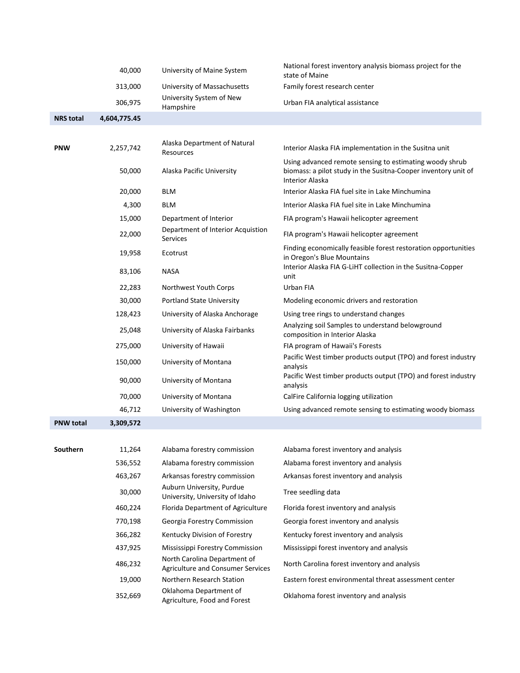|                  | 40,000       | University of Maine System                                        | National forest inventory analysis biomass project for the<br>state of Maine                                                                 |
|------------------|--------------|-------------------------------------------------------------------|----------------------------------------------------------------------------------------------------------------------------------------------|
|                  | 313,000      | University of Massachusetts                                       | Family forest research center                                                                                                                |
|                  | 306,975      | University System of New<br>Hampshire                             | Urban FIA analytical assistance                                                                                                              |
| <b>NRS</b> total | 4,604,775.45 |                                                                   |                                                                                                                                              |
|                  |              |                                                                   |                                                                                                                                              |
| <b>PNW</b>       | 2,257,742    | Alaska Department of Natural<br>Resources                         | Interior Alaska FIA implementation in the Susitna unit                                                                                       |
|                  | 50,000       | Alaska Pacific University                                         | Using advanced remote sensing to estimating woody shrub<br>biomass: a pilot study in the Susitna-Cooper inventory unit of<br>Interior Alaska |
|                  | 20,000       | <b>BLM</b>                                                        | Interior Alaska FIA fuel site in Lake Minchumina                                                                                             |
|                  | 4,300        | <b>BLM</b>                                                        | Interior Alaska FIA fuel site in Lake Minchumina                                                                                             |
|                  | 15,000       | Department of Interior                                            | FIA program's Hawaii helicopter agreement                                                                                                    |
|                  | 22,000       | Department of Interior Acquistion<br><b>Services</b>              | FIA program's Hawaii helicopter agreement                                                                                                    |
|                  | 19,958       | Ecotrust                                                          | Finding economically feasible forest restoration opportunities<br>in Oregon's Blue Mountains                                                 |
|                  | 83,106       | <b>NASA</b>                                                       | Interior Alaska FIA G-LiHT collection in the Susitna-Copper<br>unit                                                                          |
|                  | 22,283       | Northwest Youth Corps                                             | Urban FIA                                                                                                                                    |
|                  | 30,000       | <b>Portland State University</b>                                  | Modeling economic drivers and restoration                                                                                                    |
|                  | 128,423      | University of Alaska Anchorage                                    | Using tree rings to understand changes                                                                                                       |
|                  | 25,048       | University of Alaska Fairbanks                                    | Analyzing soil Samples to understand belowground<br>composition in Interior Alaska                                                           |
|                  | 275,000      | University of Hawaii                                              | FIA program of Hawaii's Forests                                                                                                              |
|                  | 150,000      | University of Montana                                             | Pacific West timber products output (TPO) and forest industry<br>analysis                                                                    |
|                  | 90,000       | University of Montana                                             | Pacific West timber products output (TPO) and forest industry<br>analysis                                                                    |
|                  | 70,000       | University of Montana                                             | CalFire California logging utilization                                                                                                       |
|                  | 46,712       | University of Washington                                          | Using advanced remote sensing to estimating woody biomass                                                                                    |
| <b>PNW total</b> | 3,309,572    |                                                                   |                                                                                                                                              |
|                  |              |                                                                   |                                                                                                                                              |
| Southern         | 11,264       | Alabama forestry commission                                       | Alabama forest inventory and analysis                                                                                                        |
|                  | 536,552      | Alabama forestry commission                                       | Alabama forest inventory and analysis                                                                                                        |
|                  | 463,267      | Arkansas forestry commission                                      | Arkansas forest inventory and analysis                                                                                                       |
|                  | 30,000       | Auburn University, Purdue<br>University, University of Idaho      | Tree seedling data                                                                                                                           |
|                  | 460,224      | Florida Department of Agriculture                                 | Florida forest inventory and analysis                                                                                                        |
|                  | 770,198      | Georgia Forestry Commission                                       | Georgia forest inventory and analysis                                                                                                        |
|                  | 366,282      | Kentucky Division of Forestry                                     | Kentucky forest inventory and analysis                                                                                                       |
|                  | 437,925      | Mississippi Forestry Commission                                   | Mississippi forest inventory and analysis                                                                                                    |
|                  | 486,232      | North Carolina Department of<br>Agriculture and Consumer Services | North Carolina forest inventory and analysis                                                                                                 |
|                  | 19,000       | Northern Research Station                                         | Eastern forest environmental threat assessment center                                                                                        |
|                  | 352,669      | Oklahoma Department of<br>Agriculture, Food and Forest            | Oklahoma forest inventory and analysis                                                                                                       |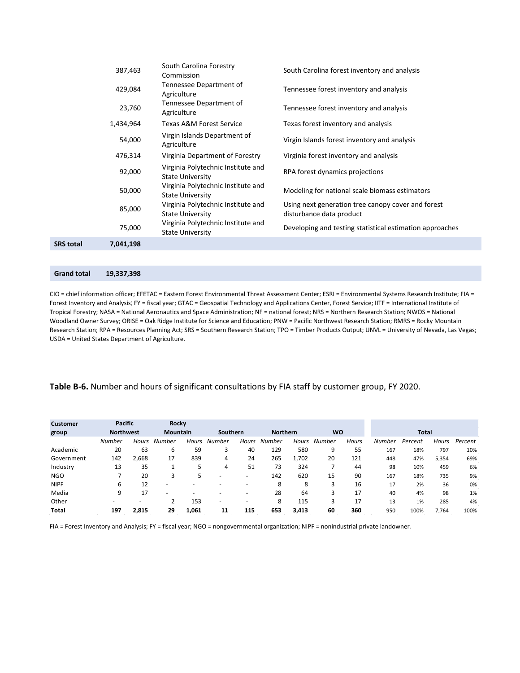| SRS total | 7,041,198 |                                                               |                                                                                |
|-----------|-----------|---------------------------------------------------------------|--------------------------------------------------------------------------------|
|           | 75,000    | Virginia Polytechnic Institute and<br><b>State University</b> | Developing and testing statistical estimation approaches                       |
|           | 85,000    | Virginia Polytechnic Institute and<br><b>State University</b> | Using next generation tree canopy cover and forest<br>disturbance data product |
|           | 50,000    | Virginia Polytechnic Institute and<br><b>State University</b> | Modeling for national scale biomass estimators                                 |
|           | 92,000    | Virginia Polytechnic Institute and<br><b>State University</b> | RPA forest dynamics projections                                                |
|           | 476,314   | Virginia Department of Forestry                               | Virginia forest inventory and analysis                                         |
|           | 54,000    | Virgin Islands Department of<br>Agriculture                   | Virgin Islands forest inventory and analysis                                   |
|           | 1,434,964 | Texas A&M Forest Service                                      | Texas forest inventory and analysis                                            |
|           | 23,760    | Tennessee Department of<br>Agriculture                        | Tennessee forest inventory and analysis                                        |
|           | 429,084   | Tennessee Department of<br>Agriculture                        | Tennessee forest inventory and analysis                                        |
|           | 387,463   | South Carolina Forestry<br>Commission                         | South Carolina forest inventory and analysis                                   |

| <b>Grand total</b> |  |  | 19,337,398 |
|--------------------|--|--|------------|
|--------------------|--|--|------------|

CIO = chief information officer; EFETAC = Eastern Forest Environmental Threat Assessment Center; ESRI = Environmental Systems Research Institute; FIA = Forest Inventory and Analysis; FY = fiscal year; GTAC = Geospatial Technology and Applications Center, Forest Service; IITF = International Institute of Tropical Forestry; NASA = National Aeronautics and Space Administration; NF = national forest; NRS = Northern Research Station; NWOS = National Woodland Owner Survey; ORISE = Oak Ridge Institute for Science and Education; PNW = Pacific Northwest Research Station; RMRS = Rocky Mountain Research Station; RPA = Resources Planning Act; SRS = Southern Research Station; TPO = Timber Products Output; UNVL = University of Nevada, Las Vegas; USDA = United States Department of Agriculture.

#### **Table B-6.** Number and hours of significant consultations by FIA staff by customer group, FY 2020.

| <b>Customer</b> | <b>Pacific</b>   |       | Rocky                    |              |          |                          |                 |       |              |              |               |              |       |         |
|-----------------|------------------|-------|--------------------------|--------------|----------|--------------------------|-----------------|-------|--------------|--------------|---------------|--------------|-------|---------|
| group           | <b>Northwest</b> |       | Mountain                 |              | Southern |                          | <b>Northern</b> |       | <b>WO</b>    |              |               | <b>Total</b> |       |         |
|                 | Number           | Hours | Number                   | <b>Hours</b> | Number   | <b>Hours</b>             | <b>Number</b>   |       | Hours Number | <b>Hours</b> | <b>Number</b> | Percent      | Hours | Percent |
| Academic        | 20               | 63    | 6                        | 59           | 3        | 40                       | 129             | 580   | 9            | 55           | 167           | 18%          | 797   | 10%     |
| Government      | 142              | 2,668 | 17                       | 839          | 4        | 24                       | 265             | 1,702 | 20           | 121          | 448           | 47%          | 5,354 | 69%     |
| Industry        | 13               | 35    |                          |              | 4        | 51                       | 73              | 324   |              | 44           | 98            | 10%          | 459   | 6%      |
| <b>NGO</b>      |                  | 20    | 3                        |              |          | $\overline{\phantom{0}}$ | 142             | 620   | 15           | 90           | 167           | 18%          | 735   | 9%      |
| <b>NIPF</b>     | 6                | 12    | $\overline{\phantom{0}}$ |              |          |                          | 8               | 8     | 3            | 16           | 17            | 2%           | 36    | 0%      |
| Media           | 9                | 17    | $\overline{\phantom{a}}$ |              |          |                          | 28              | 64    | 3            | 17           | 40            | 4%           | 98    | 1%      |
| Other           |                  |       |                          | 153          | -        |                          | 8               | 115   | 3            | 17           | 13            | 1%           | 285   | 4%      |
| <b>Total</b>    | 197              | 2,815 | 29                       | 1,061        | 11       | 115                      | 653             | 3,413 | 60           | 360          | 950           | 100%         | 7,764 | 100%    |

FIA = Forest Inventory and Analysis; FY = fiscal year; NGO = nongovernmental organization; NIPF = nonindustrial private landowner.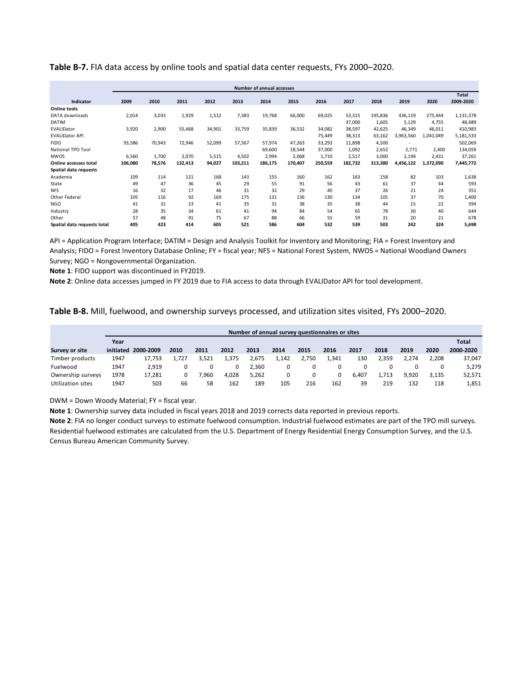|                             | <b>Number of annual accesses</b> |        |         |        |         |         |         |         |         |         |           |           |              |  |
|-----------------------------|----------------------------------|--------|---------|--------|---------|---------|---------|---------|---------|---------|-----------|-----------|--------------|--|
|                             |                                  |        |         |        |         |         |         |         |         |         |           |           | <b>Total</b> |  |
| Indicator                   | 2009                             | 2010   | 2011    | 2012   | 2013    | 2014    | 2015    | 2016    | 2017    | 2018    | 2019      | 2020      | 2009-2020    |  |
| <b>Online tools</b>         |                                  |        |         |        |         |         |         |         |         |         |           |           |              |  |
| DATA downloads              | 2,014                            | 3,033  | 1,929   | 1,512  | 7,383   | 19,768  | 66,000  | 69,025  | 53,315  | 195,836 | 436,119   | 275,444   | 1,131,378    |  |
| <b>DATIM</b>                |                                  |        |         |        |         |         |         |         | 37,000  | 1,605   | 5,129     | 4,755     | 48,489       |  |
| EVALIDator                  | 3,920                            | 2,900  | 55,468  | 34,901 | 33,759  | 35,839  | 36,532  | 34.082  | 38,597  | 42,625  | 46,349    | 46,011    | 410,983      |  |
| <b>EVALIDator API</b>       |                                  |        |         |        |         |         |         | 75,449  | 38,313  | 63,162  | 3,963,560 | 1,041,049 | 5,181,533    |  |
| <b>FIDO</b>                 | 93,586                           | 70,943 | 72,946  | 52,099 | 57,567  | 57,974  | 47,263  | 33,293  | 11,898  | 4,500   |           |           | 502,069      |  |
| National TPO Tool           |                                  |        |         |        |         | 69,600  | 18,544  | 37,000  | 1,092   | 2,652   | 2,771     | 2,400     | 134,059      |  |
| <b>NWOS</b>                 | 6,560                            | 1,700  | 2,070   | 5,515  | 4,502   | 2,994   | 2,068   | 1,710   | 2,517   | 3,000   | 2,194     | 2,431     | 37,261       |  |
| Online accesses total       | 106,080                          | 78,576 | 132,413 | 94,027 | 103,211 | 186,175 | 170,407 | 250,559 | 182,732 | 313,380 | 4,456,122 | 1,372,090 | 7,445,772    |  |
| Spatial data requests       |                                  |        |         |        |         |         |         |         |         |         |           |           |              |  |
| Academia                    | 109                              | 114    | 121     | 168    | 143     | 155     | 160     | 162     | 163     | 158     | 82        | 103       | 1,638        |  |
| State                       | 49                               | 47     | 36      | 45     | 29      | 55      | 91      | 56      | 43      | 61      | 37        | 44        | 593          |  |
| <b>NFS</b>                  | 16                               | 32     | 17      | 46     | 31      | 32      | 29      | 40      | 37      | 26      | 21        | 24        | 351          |  |
| Other Federal               | 105                              | 116    | 92      | 169    | 175     | 131     | 136     | 130     | 134     | 105     | 37        | 70        | 1,400        |  |
| <b>NGO</b>                  | 41                               | 31     | 23      | 41     | 35      | 31      | 38      | 35      | 38      | 44      | 15        | 22        | 394          |  |
| Industry                    | 28                               | 35     | 34      | 61     | 41      | 94      | 84      | 54      | 65      | 78      | 30        | 40        | 644          |  |
| Other                       | 57                               | 48     | 91      | 75     | 67      | 88      | 66      | 55      | 59      | 31      | 20        | 21        | 678          |  |
| Spatial data requests total | 405                              | 423    | 414     | 605    | 521     | 586     | 604     | 532     | 539     | 503     | 242       | 324       | 5,698        |  |

API = Application Program Interface; DATIM = Design and Analysis Toolkit for Inventory and Monitoring; FIA = Forest Inventory and Analysis; FIDO = Forest Inventory Database Online; FY = fiscal year; NFS = National Forest System, NWOS = National Woodland Owners Survey; NGO = Nongovernmental Organization.

**Note 1**: FIDO support was discontinued in FY2019.

**Note 2**: Online data accesses jumped in FY 2019 due to FIA access to data through EVALIDator API for tool development.

**Table B-8.** Mill, fuelwood, and ownership surveys processed, and utilization sites visited, FYs 2000–2020.

|                   | Number of annual survey questionnaires or sites |           |       |       |       |       |       |       |      |       |       |       |       |           |  |  |
|-------------------|-------------------------------------------------|-----------|-------|-------|-------|-------|-------|-------|------|-------|-------|-------|-------|-----------|--|--|
|                   | Year                                            |           |       |       |       |       |       |       |      |       |       |       |       |           |  |  |
| Survey or site    | initiated                                       | 2000-2009 | 2010  | 2011  | 2012  | 2013  | 2014  | 2015  | 2016 | 2017  | 2018  | 2019  | 2020  | 2000-2020 |  |  |
| Timber products   | 1947                                            | 17.753    | 1.727 | 3.521 | 1.375 | 2.675 | 1.142 | 2.750 | 341  | 130   | 2.359 | 2.274 | 2.208 | 37,047    |  |  |
| Fuelwood          | 1947                                            | 2.919     |       |       |       | 2.360 |       |       |      |       |       |       |       | 5,279     |  |  |
| Ownership surveys | 1978                                            | 17.281    |       | 7.960 | 4.028 | 5.262 |       |       | 0    | 6.407 | 1.713 | 9.920 | 3.135 | 52,571    |  |  |
| Utilization sites | 1947                                            | 503       | 66    | 58    | 162   | 189   | 105   | 216   | 162  | 39    | 219   | 132   | 118   | 1,851     |  |  |

DWM = Down Woody Material; FY = fiscal year.

**Note 1**: Ownership survey data included in fiscal years 2018 and 2019 corrects data reported in previous reports.

**Note 2**: FIA no longer conduct surveys to estimate fuelwood consumption. Industrial fuelwood estimates are part of the TPO mill surveys. Residential fuelwood estimates are calculated from the U.S. Department of Energy Residential Energy Consumption Survey, and the U.S. Census Bureau American Community Survey.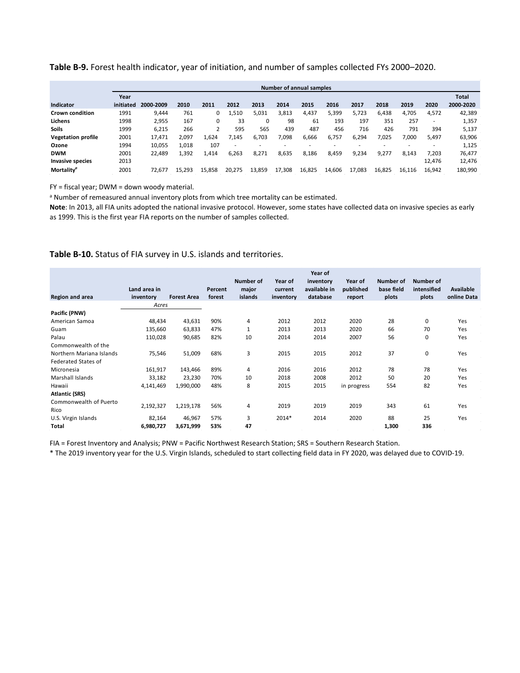#### **Table B-9.** Forest health indicator, year of initiation, and number of samples collected FYs 2000–2020.

|                           |           | <b>Number of annual samples</b> |        |        |        |        |        |        |        |        |        |        |        |              |
|---------------------------|-----------|---------------------------------|--------|--------|--------|--------|--------|--------|--------|--------|--------|--------|--------|--------------|
|                           | Year      |                                 |        |        |        |        |        |        |        |        |        |        |        | <b>Total</b> |
| <b>Indicator</b>          | initiated | 2000-2009                       | 2010   | 2011   | 2012   | 2013   | 2014   | 2015   | 2016   | 2017   | 2018   | 2019   | 2020   | 2000-2020    |
| <b>Crown condition</b>    | 1991      | 9,444                           | 761    | 0      | 1,510  | 5,031  | 3,813  | 4,437  | 5,399  | 5.723  | 6,438  | 4,705  | 4,572  | 42,389       |
| Lichens                   | 1998      | 2,955                           | 167    | 0      | 33     | 0      | 98     | 61     | 193    | 197    | 351    | 257    | ۰      | 1,357        |
| <b>Soils</b>              | 1999      | 6,215                           | 266    |        | 595    | 565    | 439    | 487    | 456    | 716    | 426    | 791    | 394    | 5,137        |
| <b>Vegetation profile</b> | 2001      | 17,471                          | 2,097  | 1,624  | 7.145  | 6,703  | 7,098  | 6,666  | 6,757  | 6,294  | 7,025  | 7,000  | 5,497  | 63,906       |
| Ozone                     | 1994      | 10,055                          | 1.018  | 107    |        |        |        |        |        |        |        |        | ۰      | 1,125        |
| <b>DWM</b>                | 2001      | 22,489                          | 1.392  | 1,414  | 6.263  | 8.271  | 8,635  | 8,186  | 8.459  | 9.234  | 9.277  | 8.143  | 7.203  | 76,477       |
| Invasive species          | 2013      |                                 |        |        |        |        |        |        |        |        |        |        | 12,476 | 12,476       |
| <b>Mortality</b>          | 2001      | 72.677                          | 15.293 | 15.858 | 20.275 | 13.859 | 17,308 | 16,825 | 14.606 | 17.083 | 16.825 | 16.116 | 16.942 | 180,990      |

FY = fiscal year; DWM = down woody material.

a Number of remeasured annual inventory plots from which tree mortality can be estimated.

**Note**: In 2013, all FIA units adopted the national invasive protocol. However, some states have collected data on invasive species as early as 1999. This is the first year FIA reports on the number of samples collected.

#### **Table B-10.** Status of FIA survey in U.S. islands and territories.

|                            |              |                    |         |           |           | Year of      |             |            |             |             |
|----------------------------|--------------|--------------------|---------|-----------|-----------|--------------|-------------|------------|-------------|-------------|
|                            |              |                    |         | Number of | Year of   | inventory    | Year of     | Number of  | Number of   |             |
|                            | Land area in |                    | Percent | major     | current   | available in | published   | base field | intensified | Available   |
| <b>Region and area</b>     | inventory    | <b>Forest Area</b> | forest  | islands   | inventory | database     | report      | plots      | plots       | online Data |
|                            | Acres        |                    |         |           |           |              |             |            |             |             |
| Pacific (PNW)              |              |                    |         |           |           |              |             |            |             |             |
| American Samoa             | 48,434       | 43,631             | 90%     | 4         | 2012      | 2012         | 2020        | 28         | 0           | Yes         |
| Guam                       | 135,660      | 63,833             | 47%     | 1         | 2013      | 2013         | 2020        | 66         | 70          | Yes         |
| Palau                      | 110,028      | 90,685             | 82%     | 10        | 2014      | 2014         | 2007        | 56         | 0           | Yes         |
| Commonwealth of the        |              |                    |         |           |           |              |             |            |             |             |
| Northern Mariana Islands   | 75,546       | 51,009             | 68%     | 3         | 2015      | 2015         | 2012        | 37         | 0           | Yes         |
| <b>Federated States of</b> |              |                    |         |           |           |              |             |            |             |             |
| Micronesia                 | 161,917      | 143,466            | 89%     | 4         | 2016      | 2016         | 2012        | 78         | 78          | Yes         |
| Marshall Islands           | 33,182       | 23,230             | 70%     | 10        | 2018      | 2008         | 2012        | 50         | 20          | Yes         |
| Hawaii                     | 4,141,469    | 1,990,000          | 48%     | 8         | 2015      | 2015         | in progress | 554        | 82          | Yes         |
| <b>Atlantic (SRS)</b>      |              |                    |         |           |           |              |             |            |             |             |
| Commonwealth of Puerto     | 2,192,327    | 1,219,178          | 56%     | 4         | 2019      | 2019         | 2019        | 343        | 61          | Yes         |
| Rico                       |              |                    |         |           |           |              |             |            |             |             |
| U.S. Virgin Islands        | 82,164       | 46,967             | 57%     | 3         | 2014*     | 2014         | 2020        | 88         | 25          | Yes         |
| Total                      | 6,980,727    | 3,671,999          | 53%     | 47        |           |              |             | 1,300      | 336         |             |

FIA = Forest Inventory and Analysis; PNW = Pacific Northwest Research Station; SRS = Southern Research Station.

\* The 2019 inventory year for the U.S. Virgin Islands, scheduled to start collecting field data in FY 2020, was delayed due to COVID-19.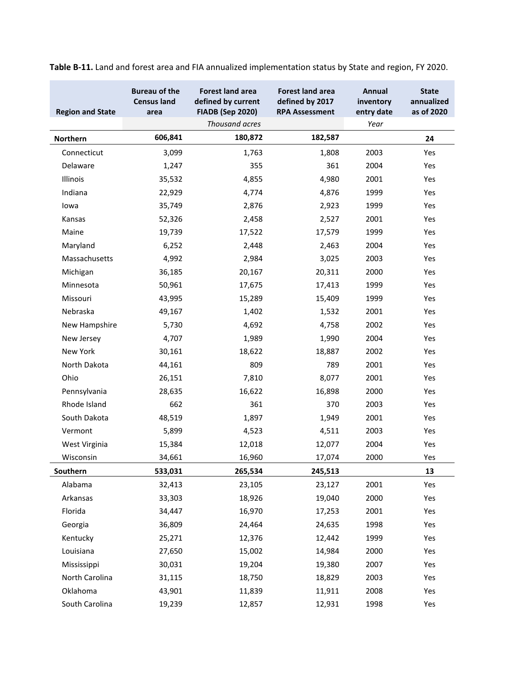| <b>Region and State</b> | <b>Bureau of the</b><br><b>Census land</b><br>area | <b>Forest land area</b><br>defined by current<br><b>FIADB (Sep 2020)</b><br>Thousand acres | <b>Forest land area</b><br>defined by 2017<br><b>RPA Assessment</b> | Annual<br>inventory<br>entry date<br>Year | <b>State</b><br>annualized<br>as of 2020 |
|-------------------------|----------------------------------------------------|--------------------------------------------------------------------------------------------|---------------------------------------------------------------------|-------------------------------------------|------------------------------------------|
| Northern                | 606,841                                            | 180,872                                                                                    | 182,587                                                             |                                           | 24                                       |
| Connecticut             | 3,099                                              | 1,763                                                                                      | 1,808                                                               | 2003                                      | Yes                                      |
| Delaware                | 1,247                                              | 355                                                                                        | 361                                                                 | 2004                                      | Yes                                      |
| Illinois                | 35,532                                             | 4,855                                                                                      | 4,980                                                               | 2001                                      | Yes                                      |
| Indiana                 | 22,929                                             | 4,774                                                                                      | 4,876                                                               | 1999                                      | Yes                                      |
| lowa                    | 35,749                                             | 2,876                                                                                      | 2,923                                                               | 1999                                      | Yes                                      |
| Kansas                  | 52,326                                             | 2,458                                                                                      | 2,527                                                               | 2001                                      | Yes                                      |
| Maine                   | 19,739                                             | 17,522                                                                                     | 17,579                                                              | 1999                                      | Yes                                      |
| Maryland                | 6,252                                              | 2,448                                                                                      | 2,463                                                               | 2004                                      | Yes                                      |
| Massachusetts           | 4,992                                              | 2,984                                                                                      | 3,025                                                               | 2003                                      | Yes                                      |
| Michigan                | 36,185                                             | 20,167                                                                                     | 20,311                                                              | 2000                                      | Yes                                      |
| Minnesota               | 50,961                                             | 17,675                                                                                     | 17,413                                                              | 1999                                      | Yes                                      |
| Missouri                | 43,995                                             | 15,289                                                                                     | 15,409                                                              | 1999                                      | Yes                                      |
| Nebraska                | 49,167                                             | 1,402                                                                                      | 1,532                                                               | 2001                                      | Yes                                      |
| New Hampshire           | 5,730                                              | 4,692                                                                                      | 4,758                                                               | 2002                                      | Yes                                      |
| New Jersey              | 4,707                                              | 1,989                                                                                      | 1,990                                                               | 2004                                      | Yes                                      |
| New York                | 30,161                                             | 18,622                                                                                     | 18,887                                                              | 2002                                      | Yes                                      |
| North Dakota            | 44,161                                             | 809                                                                                        | 789                                                                 | 2001                                      | Yes                                      |
| Ohio                    | 26,151                                             | 7,810                                                                                      | 8,077                                                               | 2001                                      | Yes                                      |
| Pennsylvania            | 28,635                                             | 16,622                                                                                     | 16,898                                                              | 2000                                      | Yes                                      |
| Rhode Island            | 662                                                | 361                                                                                        | 370                                                                 | 2003                                      | Yes                                      |
| South Dakota            | 48,519                                             | 1,897                                                                                      | 1,949                                                               | 2001                                      | Yes                                      |
| Vermont                 | 5,899                                              | 4,523                                                                                      | 4,511                                                               | 2003                                      | Yes                                      |
| West Virginia           | 15,384                                             | 12,018                                                                                     | 12,077                                                              | 2004                                      | Yes                                      |
| Wisconsin               | 34,661                                             | 16,960                                                                                     | 17,074                                                              | 2000                                      | Yes                                      |
| Southern                | 533,031                                            | 265,534                                                                                    | 245,513                                                             |                                           | 13                                       |
| Alabama                 | 32,413                                             | 23,105                                                                                     | 23,127                                                              | 2001                                      | Yes                                      |
| Arkansas                | 33,303                                             | 18,926                                                                                     | 19,040                                                              | 2000                                      | Yes                                      |
| Florida                 | 34,447                                             | 16,970                                                                                     | 17,253                                                              | 2001                                      | Yes                                      |
| Georgia                 | 36,809                                             | 24,464                                                                                     | 24,635                                                              | 1998                                      | Yes                                      |
| Kentucky                | 25,271                                             | 12,376                                                                                     | 12,442                                                              | 1999                                      | Yes                                      |
| Louisiana               | 27,650                                             | 15,002                                                                                     | 14,984                                                              | 2000                                      | Yes                                      |
| Mississippi             | 30,031                                             | 19,204                                                                                     | 19,380                                                              | 2007                                      | Yes                                      |
| North Carolina          | 31,115                                             | 18,750                                                                                     | 18,829                                                              | 2003                                      | Yes                                      |
| Oklahoma                | 43,901                                             | 11,839                                                                                     | 11,911                                                              | 2008                                      | Yes                                      |
| South Carolina          | 19,239                                             | 12,857                                                                                     | 12,931                                                              | 1998                                      | Yes                                      |

**Table B-11.** Land and forest area and FIA annualized implementation status by State and region, FY 2020.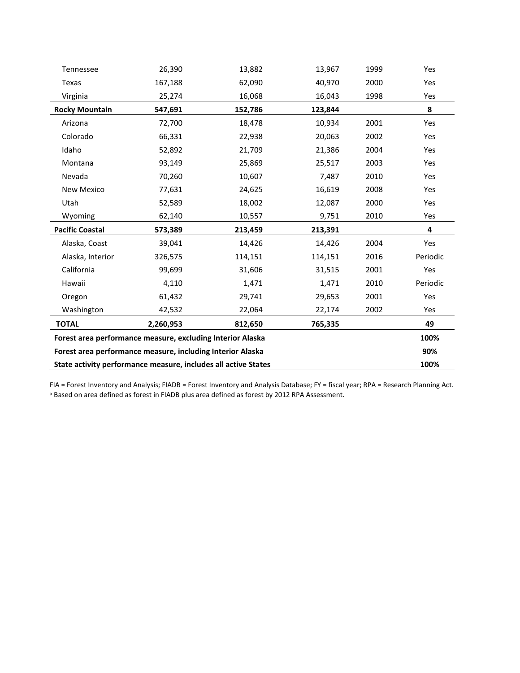| Tennessee                                                  | 26,390                                                     | 13,882                                                         | 13,967  | 1999 | Yes      |  |  |  |  |  |  |  |
|------------------------------------------------------------|------------------------------------------------------------|----------------------------------------------------------------|---------|------|----------|--|--|--|--|--|--|--|
| Texas                                                      | 167,188                                                    | 62,090                                                         | 40,970  | 2000 |          |  |  |  |  |  |  |  |
| Virginia                                                   | 25,274                                                     | 16,068                                                         | 16,043  | 1998 | Yes      |  |  |  |  |  |  |  |
| <b>Rocky Mountain</b>                                      | 547,691                                                    | 152,786                                                        | 123,844 |      | 8        |  |  |  |  |  |  |  |
| Arizona                                                    | 72,700                                                     | 18,478                                                         | 10,934  | 2001 | Yes      |  |  |  |  |  |  |  |
| Colorado                                                   | 66,331                                                     | 22,938                                                         | 20,063  | 2002 | Yes      |  |  |  |  |  |  |  |
| Idaho                                                      | 52,892                                                     | 21,709                                                         | 21,386  | 2004 | Yes      |  |  |  |  |  |  |  |
| Montana                                                    | 93,149                                                     | 25,869                                                         | 25,517  | 2003 | Yes      |  |  |  |  |  |  |  |
| Nevada                                                     | 70,260                                                     | 10,607                                                         | 7,487   | 2010 | Yes      |  |  |  |  |  |  |  |
| New Mexico                                                 | 77,631                                                     | 24,625                                                         | 16,619  | 2008 | Yes      |  |  |  |  |  |  |  |
| Utah                                                       | 52,589                                                     | 18,002                                                         | 12,087  | 2000 | Yes      |  |  |  |  |  |  |  |
| Wyoming                                                    | 62,140                                                     | 10,557                                                         | 9,751   | 2010 | Yes      |  |  |  |  |  |  |  |
| <b>Pacific Coastal</b>                                     | 573,389                                                    | 213,459                                                        | 213,391 |      | 4        |  |  |  |  |  |  |  |
| Alaska, Coast                                              | 39,041                                                     | 14,426                                                         | 14,426  | 2004 | Yes      |  |  |  |  |  |  |  |
| Alaska, Interior                                           | 326,575                                                    | 114,151                                                        | 114,151 | 2016 | Periodic |  |  |  |  |  |  |  |
| California                                                 | 99,699                                                     | 31,606                                                         | 31,515  | 2001 | Yes      |  |  |  |  |  |  |  |
| Hawaii                                                     | 4,110                                                      | 1,471                                                          | 1,471   | 2010 | Periodic |  |  |  |  |  |  |  |
| Oregon                                                     | 61,432                                                     | 29,741                                                         | 29,653  | 2001 | Yes      |  |  |  |  |  |  |  |
| Washington                                                 | 42,532                                                     | 22,064                                                         | 22,174  | 2002 | Yes      |  |  |  |  |  |  |  |
| <b>TOTAL</b>                                               | 2,260,953                                                  | 812,650                                                        | 765,335 |      | 49       |  |  |  |  |  |  |  |
| Forest area performance measure, excluding Interior Alaska |                                                            |                                                                |         |      |          |  |  |  |  |  |  |  |
|                                                            | Forest area performance measure, including Interior Alaska |                                                                |         |      | 90%      |  |  |  |  |  |  |  |
|                                                            |                                                            | State activity performance measure, includes all active States |         |      |          |  |  |  |  |  |  |  |

FIA = Forest Inventory and Analysis; FIADB = Forest Inventory and Analysis Database; FY = fiscal year; RPA = Research Planning Act. <sup>a</sup> Based on area defined as forest in FIADB plus area defined as forest by 2012 RPA Assessment.